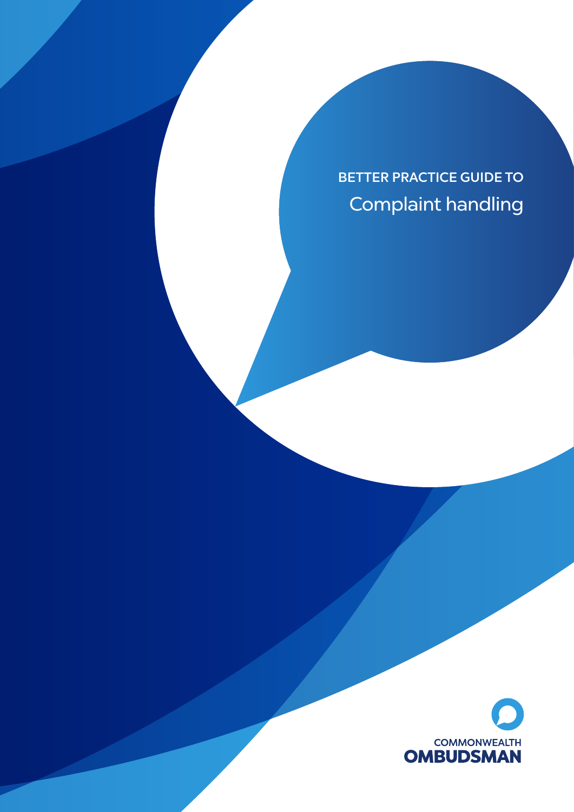BETTER PRACTICE GUIDE TO Complaint handling

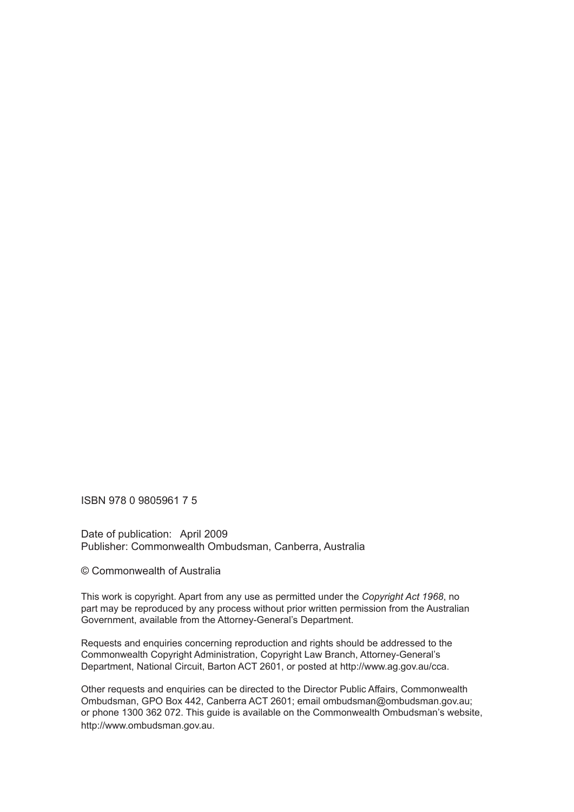ISBN 978 0 9805961 7 5

Date of publication: April 2009 Publisher: Commonwealth Ombudsman, Canberra, Australia

© Commonwealth of Australia

This work is copyright. Apart from any use as permitted under the *Copyright Act 1968*, no part may be reproduced by any process without prior written permission from the Australian Government, available from the Attorney-General's Department.

Requests and enquiries concerning reproduction and rights should be addressed to the Commonwealth Copyright Administration, Copyright Law Branch, Attorney-General's Department, National Circuit, Barton ACT 2601, or posted at http://www.ag.gov.au/cca.

Other requests and enquiries can be directed to the Director Public Affairs, Commonwealth Ombudsman, GPO Box 442, Canberra ACT 2601; email ombudsman@ombudsman.gov.au; or phone 1300 362 072. This guide is available on the Commonwealth Ombudsman's website, http://www.ombudsman.gov.au.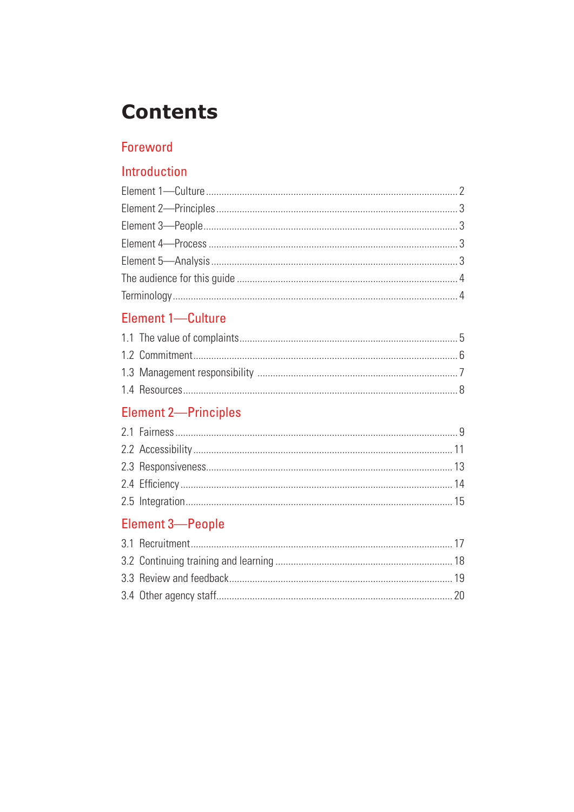# **Contents**

# Foreword

# Introduction

# Element 1-Culture

# Element 2-Principles

# Element 3-People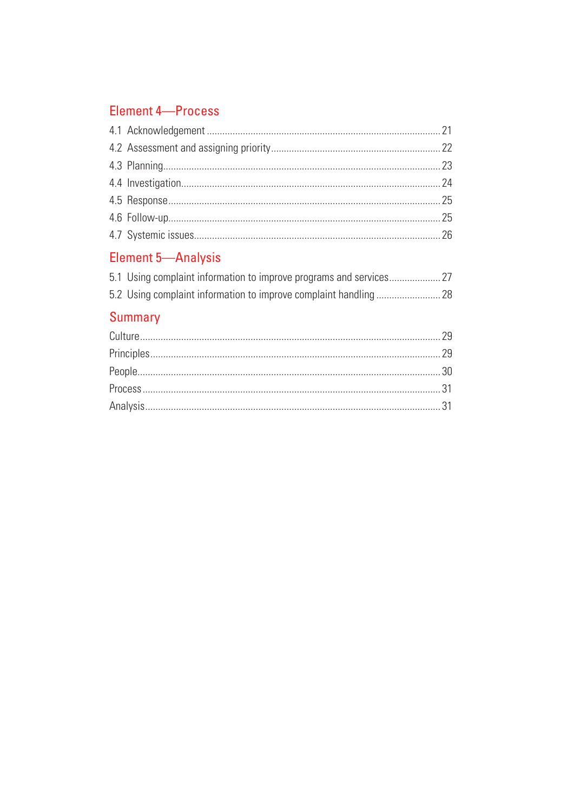# **Element 4-Process**

# Element 5-Analysis

# Summary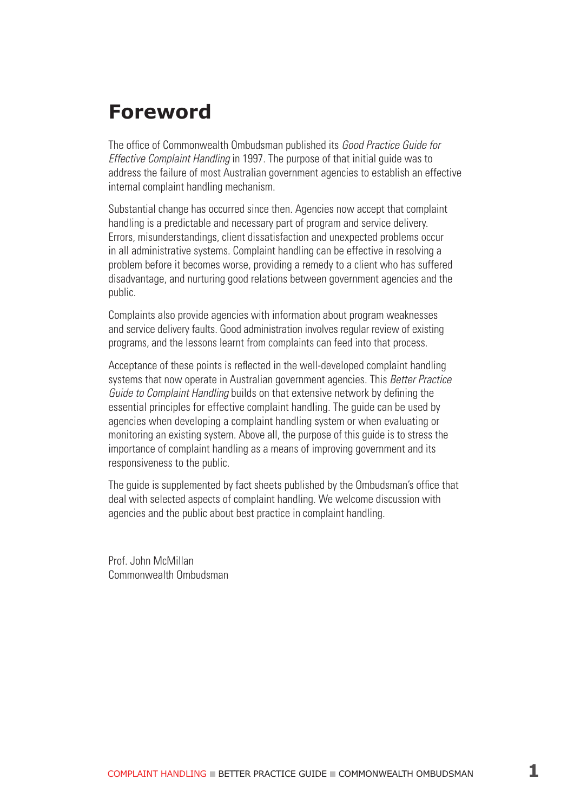# **Foreword**

The office of Commonwealth Ombudsman published its Good Practice Guide for Effective Complaint Handling in 1997. The purpose of that initial guide was to address the failure of most Australian government agencies to establish an effective internal complaint handling mechanism.

Substantial change has occurred since then. Agencies now accept that complaint handling is a predictable and necessary part of program and service delivery. Errors, misunderstandings, client dissatisfaction and unexpected problems occur in all administrative systems. Complaint handling can be effective in resolving a problem before it becomes worse, providing a remedy to a client who has suffered disadvantage, and nurturing good relations between government agencies and the public.

Complaints also provide agencies with information about program weaknesses and service delivery faults. Good administration involves regular review of existing programs, and the lessons learnt from complaints can feed into that process.

Acceptance of these points is reflected in the well-developed complaint handling systems that now operate in Australian government agencies. This Better Practice Guide to Complaint Handling builds on that extensive network by defining the essential principles for effective complaint handling. The guide can be used by agencies when developing a complaint handling system or when evaluating or monitoring an existing system. Above all, the purpose of this guide is to stress the importance of complaint handling as a means of improving government and its responsiveness to the public.

The guide is supplemented by fact sheets published by the Ombudsman's office that deal with selected aspects of complaint handling. We welcome discussion with agencies and the public about best practice in complaint handling.

Prof. John McMillan Commonwealth Ombudsman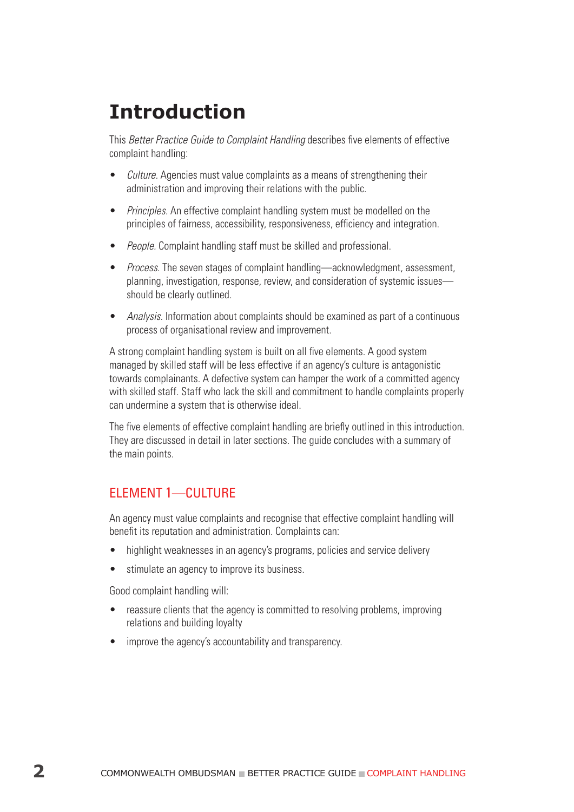# **Introduction**

This Better Practice Guide to Complaint Handling describes five elements of effective complaint handling:

- *Culture.* Agencies must value complaints as a means of strengthening their administration and improving their relations with the public.
- *Principles.* An effective complaint handling system must be modelled on the principles of fairness, accessibility, responsiveness, efficiency and integration.
- *People.* Complaint handling staff must be skilled and professional.
- Process. The seven stages of complaint handling—acknowledgment, assessment, planning, investigation, response, review, and consideration of systemic issues should be clearly outlined.
- Analysis. Information about complaints should be examined as part of a continuous process of organisational review and improvement.

A strong complaint handling system is built on all five elements. A good system managed by skilled staff will be less effective if an agency's culture is antagonistic towards complainants. A defective system can hamper the work of a committed agency with skilled staff. Staff who lack the skill and commitment to handle complaints properly can undermine a system that is otherwise ideal.

The five elements of effective complaint handling are briefly outlined in this introduction. They are discussed in detail in later sections. The guide concludes with a summary of the main points.

# Element 1—Culture

An agency must value complaints and recognise that effective complaint handling will benefit its reputation and administration. Complaints can:

- highlight weaknesses in an agency's programs, policies and service delivery
- stimulate an agency to improve its business.

Good complaint handling will:

- reassure clients that the agency is committed to resolving problems, improving relations and building loyalty
- improve the agency's accountability and transparency.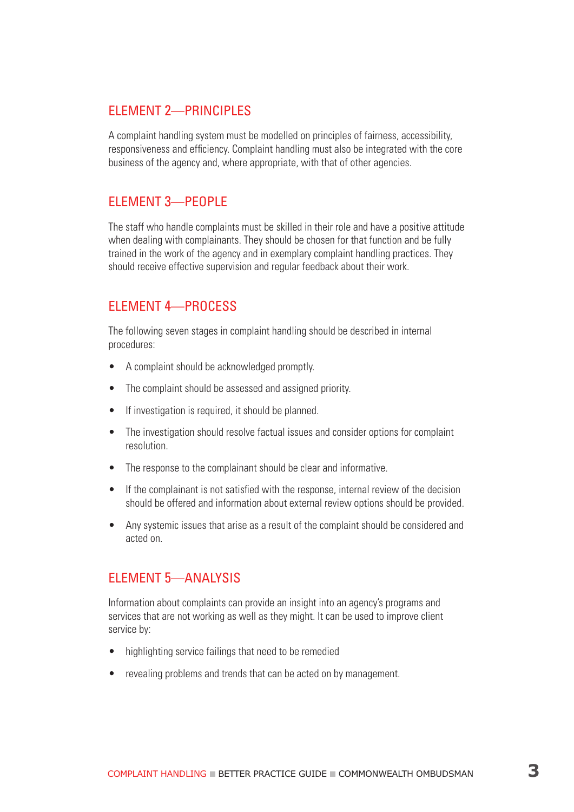### Element 2—Principles

A complaint handling system must be modelled on principles of fairness, accessibility, responsiveness and efficiency. Complaint handling must also be integrated with the core business of the agency and, where appropriate, with that of other agencies.

### Element 3—People

The staff who handle complaints must be skilled in their role and have a positive attitude when dealing with complainants. They should be chosen for that function and be fully trained in the work of the agency and in exemplary complaint handling practices. They should receive effective supervision and regular feedback about their work.

# Element 4—Process

The following seven stages in complaint handling should be described in internal procedures:

- A complaint should be acknowledged promptly.
- The complaint should be assessed and assigned priority.
- If investigation is required, it should be planned.
- The investigation should resolve factual issues and consider options for complaint resolution.
- The response to the complainant should be clear and informative.
- If the complainant is not satisfied with the response, internal review of the decision should be offered and information about external review options should be provided.
- Any systemic issues that arise as a result of the complaint should be considered and acted on.

# Element 5—Analysis

Information about complaints can provide an insight into an agency's programs and services that are not working as well as they might. It can be used to improve client service by:

- highlighting service failings that need to be remedied
- revealing problems and trends that can be acted on by management.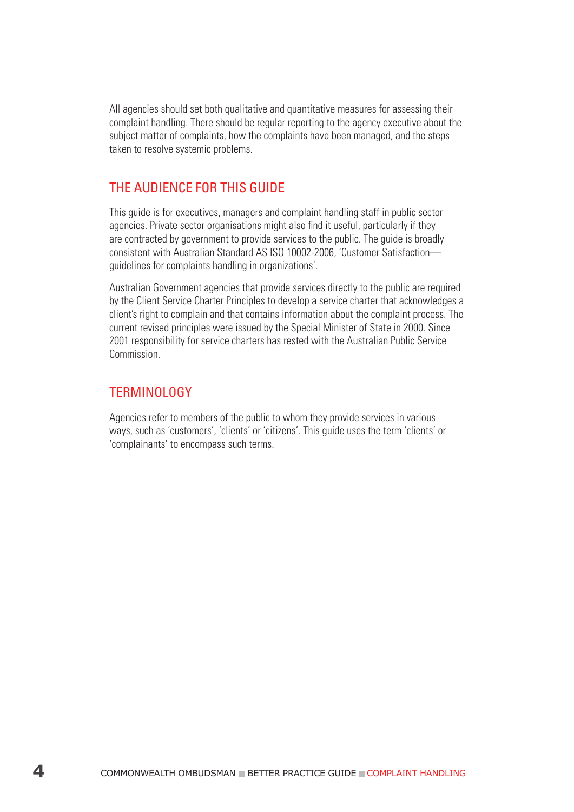All agencies should set both qualitative and quantitative measures for assessing their complaint handling. There should be regular reporting to the agency executive about the subject matter of complaints, how the complaints have been managed, and the steps taken to resolve systemic problems.

# The audience for this guide

This guide is for executives, managers and complaint handling staff in public sector agencies. Private sector organisations might also find it useful, particularly if they are contracted by government to provide services to the public. The guide is broadly consistent with Australian Standard AS ISO 10002-2006, 'Customer Satisfaction guidelines for complaints handling in organizations'.

Australian Government agencies that provide services directly to the public are required by the Client Service Charter Principles to develop a service charter that acknowledges a client's right to complain and that contains information about the complaint process. The current revised principles were issued by the Special Minister of State in 2000. Since 2001 responsibility for service charters has rested with the Australian Public Service Commission.

#### **TFRMINOLOGY**

Agencies refer to members of the public to whom they provide services in various ways, such as 'customers', 'clients' or 'citizens'. This guide uses the term 'clients' or 'complainants' to encompass such terms.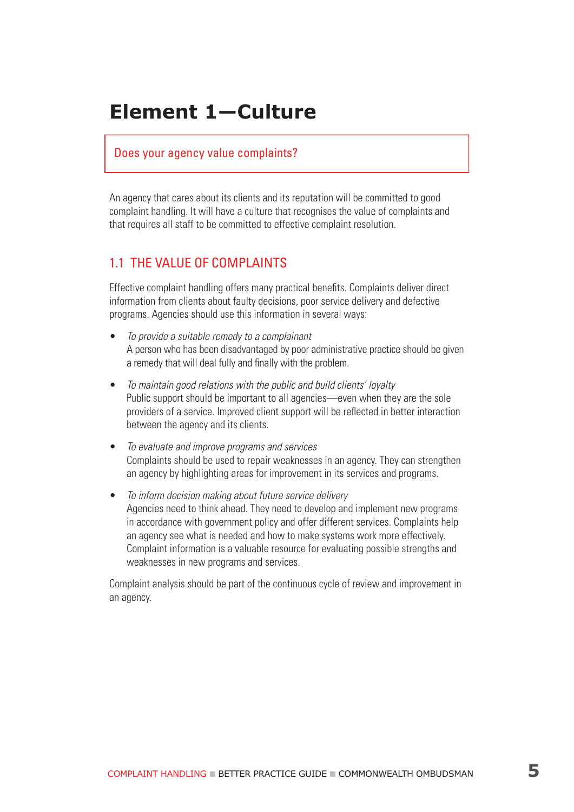# **Element 1—Culture**

#### Does your agency value complaints?

An agency that cares about its clients and its reputation will be committed to good complaint handling. It will have a culture that recognises the value of complaints and that requires all staff to be committed to effective complaint resolution.

#### 1.1 The value of complaints

Effective complaint handling offers many practical benefits. Complaints deliver direct information from clients about faulty decisions, poor service delivery and defective programs. Agencies should use this information in several ways:

- To provide a suitable remedy to a complainant A person who has been disadvantaged by poor administrative practice should be given a remedy that will deal fully and finally with the problem.
- To maintain good relations with the public and build clients' loyalty Public support should be important to all agencies—even when they are the sole providers of a service. Improved client support will be reflected in better interaction between the agency and its clients.
- To evaluate and improve programs and services Complaints should be used to repair weaknesses in an agency. They can strengthen an agency by highlighting areas for improvement in its services and programs.
- To inform decision making about future service delivery Agencies need to think ahead. They need to develop and implement new programs in accordance with government policy and offer different services. Complaints help an agency see what is needed and how to make systems work more effectively. Complaint information is a valuable resource for evaluating possible strengths and weaknesses in new programs and services.

Complaint analysis should be part of the continuous cycle of review and improvement in an agency.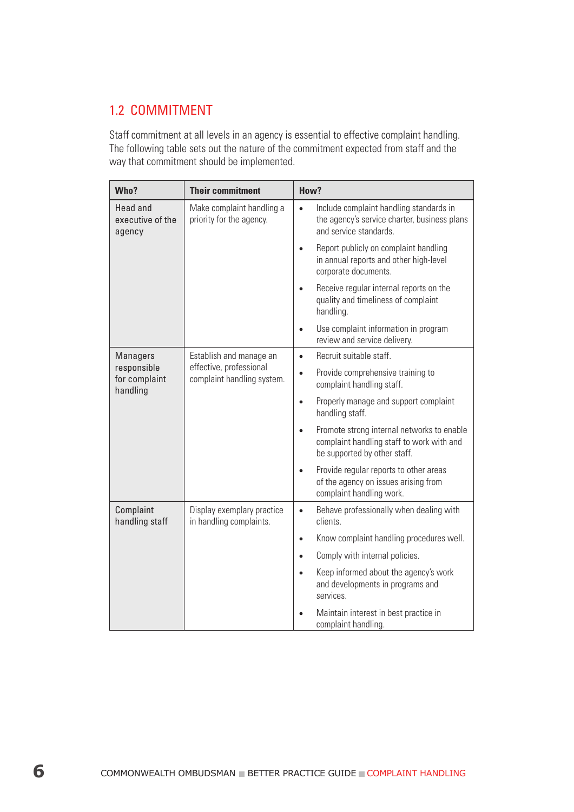# 1.2 COMMITMENT

Staff commitment at all levels in an agency is essential to effective complaint handling. The following table sets out the nature of the commitment expected from staff and the way that commitment should be implemented.

| Who?                                          | <b>Their commitment</b>                               | How?                                                                                                                                 |
|-----------------------------------------------|-------------------------------------------------------|--------------------------------------------------------------------------------------------------------------------------------------|
| <b>Head and</b><br>executive of the<br>agency | Make complaint handling a<br>priority for the agency. | Include complaint handling standards in<br>$\bullet$<br>the agency's service charter, business plans<br>and service standards.       |
|                                               |                                                       | Report publicly on complaint handling<br>$\bullet$<br>in annual reports and other high-level<br>corporate documents.                 |
|                                               |                                                       | Receive regular internal reports on the<br>quality and timeliness of complaint<br>handling.                                          |
|                                               |                                                       | Use complaint information in program<br>$\bullet$<br>review and service delivery.                                                    |
| <b>Managers</b>                               | Establish and manage an                               | Recruit suitable staff.<br>$\bullet$                                                                                                 |
| responsible<br>for complaint<br>handling      | effective, professional<br>complaint handling system. | Provide comprehensive training to<br>$\bullet$<br>complaint handling staff.                                                          |
|                                               |                                                       | Properly manage and support complaint<br>$\bullet$<br>handling staff.                                                                |
|                                               |                                                       | Promote strong internal networks to enable<br>$\bullet$<br>complaint handling staff to work with and<br>be supported by other staff. |
|                                               |                                                       | Provide regular reports to other areas<br>$\bullet$<br>of the agency on issues arising from<br>complaint handling work.              |
| Complaint<br>handling staff                   | Display exemplary practice<br>in handling complaints. | Behave professionally when dealing with<br>$\bullet$<br>clients.                                                                     |
|                                               |                                                       | Know complaint handling procedures well.<br>$\bullet$                                                                                |
|                                               |                                                       | Comply with internal policies.<br>$\bullet$                                                                                          |
|                                               |                                                       | Keep informed about the agency's work<br>$\bullet$<br>and developments in programs and<br>services.                                  |
|                                               |                                                       | Maintain interest in best practice in<br>complaint handling.                                                                         |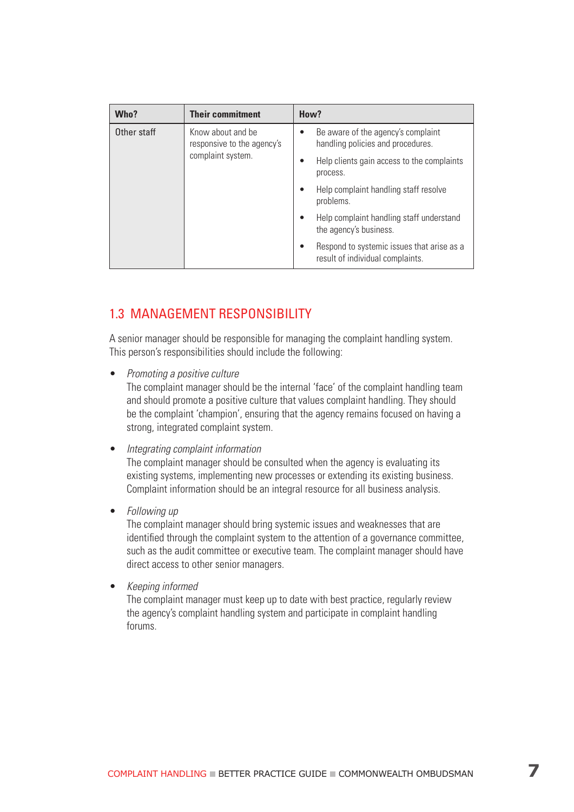| Who?        | <b>Their commitment</b>                         | How?                                                                                 |
|-------------|-------------------------------------------------|--------------------------------------------------------------------------------------|
| Other staff | Know about and be<br>responsive to the agency's | Be aware of the agency's complaint<br>$\bullet$<br>handling policies and procedures. |
|             | complaint system.                               | Help clients gain access to the complaints<br>٠<br>process.                          |
|             |                                                 | Help complaint handling staff resolve<br>$\bullet$<br>problems.                      |
|             |                                                 | Help complaint handling staff understand<br>$\bullet$<br>the agency's business.      |
|             |                                                 | Respond to systemic issues that arise as a<br>٠<br>result of individual complaints.  |

# 1.3 Management responsibility

A senior manager should be responsible for managing the complaint handling system. This person's responsibilities should include the following:

• Promoting a positive culture

The complaint manager should be the internal 'face' of the complaint handling team and should promote a positive culture that values complaint handling. They should be the complaint 'champion', ensuring that the agency remains focused on having a strong, integrated complaint system.

• Integrating complaint information

The complaint manager should be consulted when the agency is evaluating its existing systems, implementing new processes or extending its existing business. Complaint information should be an integral resource for all business analysis.

• Following up

The complaint manager should bring systemic issues and weaknesses that are identified through the complaint system to the attention of a governance committee, such as the audit committee or executive team. The complaint manager should have direct access to other senior managers.

• Keeping informed

The complaint manager must keep up to date with best practice, regularly review the agency's complaint handling system and participate in complaint handling forums.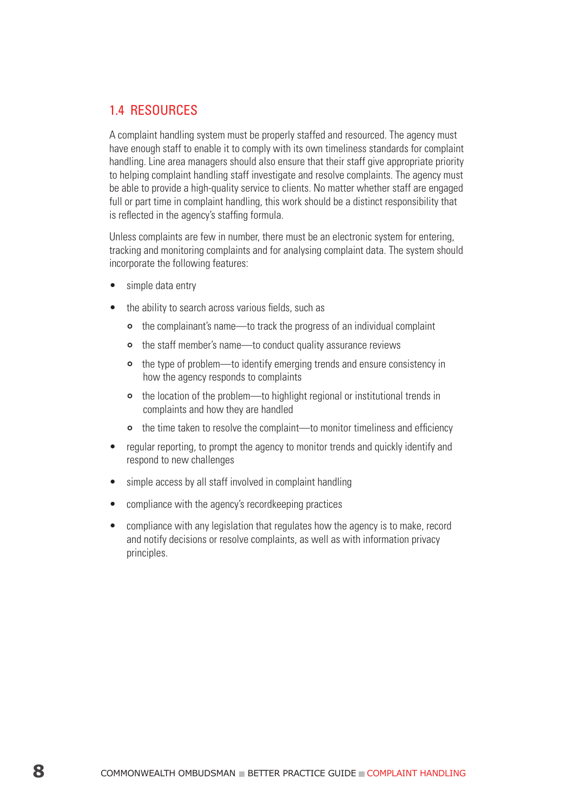# 1.4 Resources

A complaint handling system must be properly staffed and resourced. The agency must have enough staff to enable it to comply with its own timeliness standards for complaint handling. Line area managers should also ensure that their staff give appropriate priority to helping complaint handling staff investigate and resolve complaints. The agency must be able to provide a high-quality service to clients. No matter whether staff are engaged full or part time in complaint handling, this work should be a distinct responsibility that is reflected in the agency's staffing formula.

Unless complaints are few in number, there must be an electronic system for entering, tracking and monitoring complaints and for analysing complaint data. The system should incorporate the following features:

- simple data entry
- the ability to search across various fields, such as
	- the complainant's name—to track the progress of an individual complaint
	- the staff member's name—to conduct quality assurance reviews
	- the type of problem—to identify emerging trends and ensure consistency in how the agency responds to complaints
	- the location of the problem—to highlight regional or institutional trends in complaints and how they are handled
	- the time taken to resolve the complaint—to monitor timeliness and efficiency
- regular reporting, to prompt the agency to monitor trends and quickly identify and respond to new challenges
- simple access by all staff involved in complaint handling
- compliance with the agency's recordkeeping practices
- compliance with any legislation that regulates how the agency is to make, record and notify decisions or resolve complaints, as well as with information privacy principles.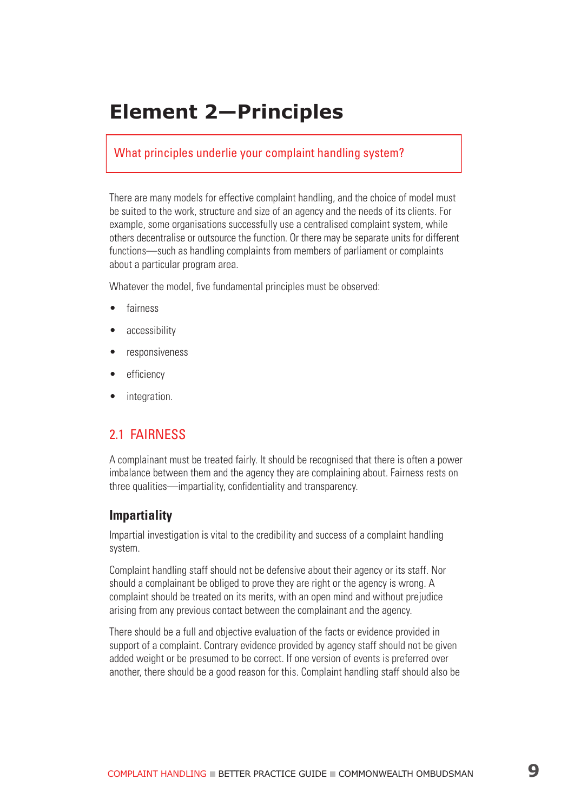# **Element 2—Principles**

#### What principles underlie your complaint handling system?

There are many models for effective complaint handling, and the choice of model must be suited to the work, structure and size of an agency and the needs of its clients. For example, some organisations successfully use a centralised complaint system, while others decentralise or outsource the function. Or there may be separate units for different functions—such as handling complaints from members of parliament or complaints about a particular program area.

Whatever the model, five fundamental principles must be observed:

- **fairness**
- accessibility
- responsiveness
- efficiency
- integration.

# 2.1 FAIRNESS

A complainant must be treated fairly. It should be recognised that there is often a power imbalance between them and the agency they are complaining about. Fairness rests on three qualities—impartiality, confidentiality and transparency.

#### **Impartiality**

Impartial investigation is vital to the credibility and success of a complaint handling system.

Complaint handling staff should not be defensive about their agency or its staff. Nor should a complainant be obliged to prove they are right or the agency is wrong. A complaint should be treated on its merits, with an open mind and without prejudice arising from any previous contact between the complainant and the agency.

There should be a full and objective evaluation of the facts or evidence provided in support of a complaint. Contrary evidence provided by agency staff should not be given added weight or be presumed to be correct. If one version of events is preferred over another, there should be a good reason for this. Complaint handling staff should also be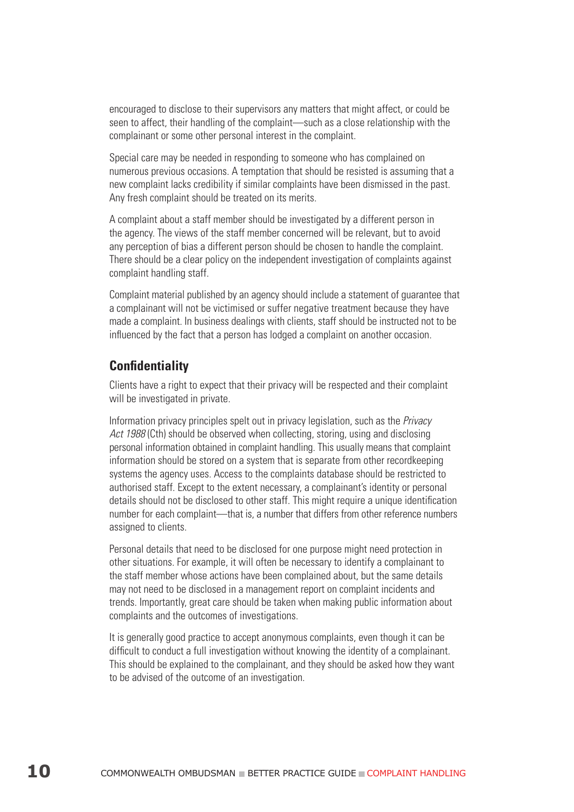encouraged to disclose to their supervisors any matters that might affect, or could be seen to affect, their handling of the complaint—such as a close relationship with the complainant or some other personal interest in the complaint.

Special care may be needed in responding to someone who has complained on numerous previous occasions. A temptation that should be resisted is assuming that a new complaint lacks credibility if similar complaints have been dismissed in the past. Any fresh complaint should be treated on its merits.

A complaint about a staff member should be investigated by a different person in the agency. The views of the staff member concerned will be relevant, but to avoid any perception of bias a different person should be chosen to handle the complaint. There should be a clear policy on the independent investigation of complaints against complaint handling staff.

Complaint material published by an agency should include a statement of guarantee that a complainant will not be victimised or suffer negative treatment because they have made a complaint. In business dealings with clients, staff should be instructed not to be influenced by the fact that a person has lodged a complaint on another occasion.

#### **Confidentiality**

Clients have a right to expect that their privacy will be respected and their complaint will be investigated in private.

Information privacy principles spelt out in privacy legislation, such as the Privacy Act 1988 (Cth) should be observed when collecting, storing, using and disclosing personal information obtained in complaint handling. This usually means that complaint information should be stored on a system that is separate from other recordkeeping systems the agency uses. Access to the complaints database should be restricted to authorised staff. Except to the extent necessary, a complainant's identity or personal details should not be disclosed to other staff. This might require a unique identification number for each complaint—that is, a number that differs from other reference numbers assigned to clients.

Personal details that need to be disclosed for one purpose might need protection in other situations. For example, it will often be necessary to identify a complainant to the staff member whose actions have been complained about, but the same details may not need to be disclosed in a management report on complaint incidents and trends. Importantly, great care should be taken when making public information about complaints and the outcomes of investigations.

It is generally good practice to accept anonymous complaints, even though it can be difficult to conduct a full investigation without knowing the identity of a complainant. This should be explained to the complainant, and they should be asked how they want to be advised of the outcome of an investigation.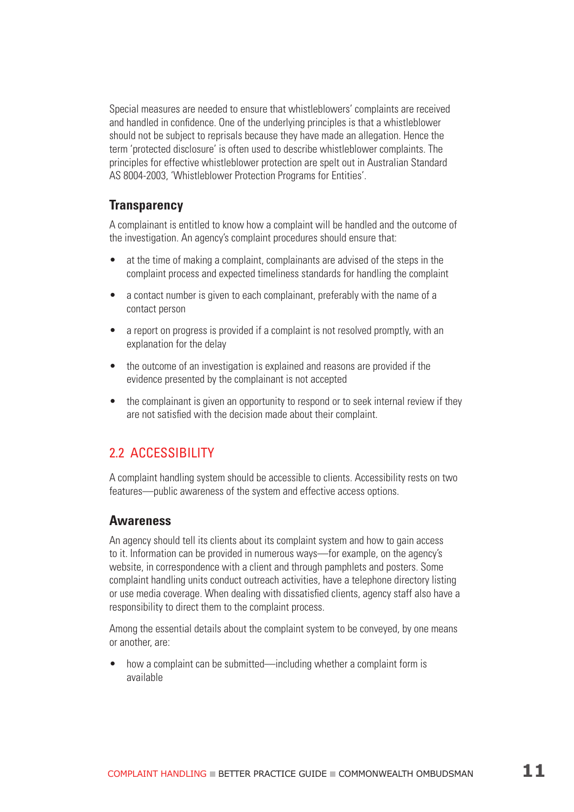Special measures are needed to ensure that whistleblowers' complaints are received and handled in confidence. One of the underlying principles is that a whistleblower should not be subject to reprisals because they have made an allegation. Hence the term 'protected disclosure' is often used to describe whistleblower complaints. The principles for effective whistleblower protection are spelt out in Australian Standard AS 8004-2003, 'Whistleblower Protection Programs for Entities'.

#### **Transparency**

A complainant is entitled to know how a complaint will be handled and the outcome of the investigation. An agency's complaint procedures should ensure that:

- at the time of making a complaint, complainants are advised of the steps in the complaint process and expected timeliness standards for handling the complaint
- a contact number is given to each complainant, preferably with the name of a contact person
- a report on progress is provided if a complaint is not resolved promptly, with an explanation for the delay
- the outcome of an investigation is explained and reasons are provided if the evidence presented by the complainant is not accepted
- the complainant is given an opportunity to respond or to seek internal review if they are not satisfied with the decision made about their complaint.

# 2.2 Accessibility

A complaint handling system should be accessible to clients. Accessibility rests on two features—public awareness of the system and effective access options.

#### **Awareness**

An agency should tell its clients about its complaint system and how to gain access to it. Information can be provided in numerous ways—for example, on the agency's website, in correspondence with a client and through pamphlets and posters. Some complaint handling units conduct outreach activities, have a telephone directory listing or use media coverage. When dealing with dissatisfied clients, agency staff also have a responsibility to direct them to the complaint process.

Among the essential details about the complaint system to be conveyed, by one means or another, are:

• how a complaint can be submitted—including whether a complaint form is available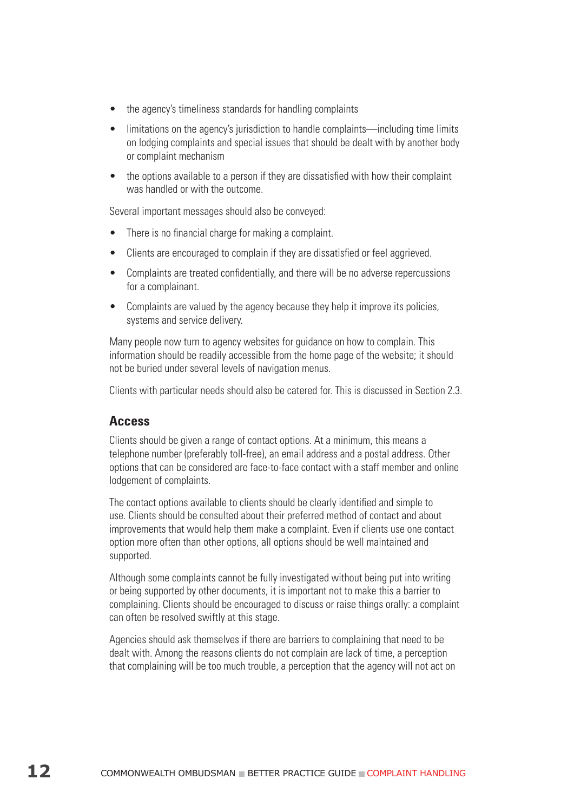- the agency's timeliness standards for handling complaints
- limitations on the agency's jurisdiction to handle complaints—including time limits on lodging complaints and special issues that should be dealt with by another body or complaint mechanism
- the options available to a person if they are dissatisfied with how their complaint was handled or with the outcome.

Several important messages should also be conveyed:

- There is no financial charge for making a complaint.
- Clients are encouraged to complain if they are dissatisfied or feel aggrieved.
- Complaints are treated confidentially, and there will be no adverse repercussions for a complainant.
- Complaints are valued by the agency because they help it improve its policies, systems and service delivery.

Many people now turn to agency websites for guidance on how to complain. This information should be readily accessible from the home page of the website; it should not be buried under several levels of navigation menus.

Clients with particular needs should also be catered for. This is discussed in Section 2.3.

#### **Access**

Clients should be given a range of contact options. At a minimum, this means a telephone number (preferably toll-free), an email address and a postal address. Other options that can be considered are face-to-face contact with a staff member and online lodgement of complaints.

The contact options available to clients should be clearly identified and simple to use. Clients should be consulted about their preferred method of contact and about improvements that would help them make a complaint. Even if clients use one contact option more often than other options, all options should be well maintained and supported.

Although some complaints cannot be fully investigated without being put into writing or being supported by other documents, it is important not to make this a barrier to complaining. Clients should be encouraged to discuss or raise things orally: a complaint can often be resolved swiftly at this stage.

Agencies should ask themselves if there are barriers to complaining that need to be dealt with. Among the reasons clients do not complain are lack of time, a perception that complaining will be too much trouble, a perception that the agency will not act on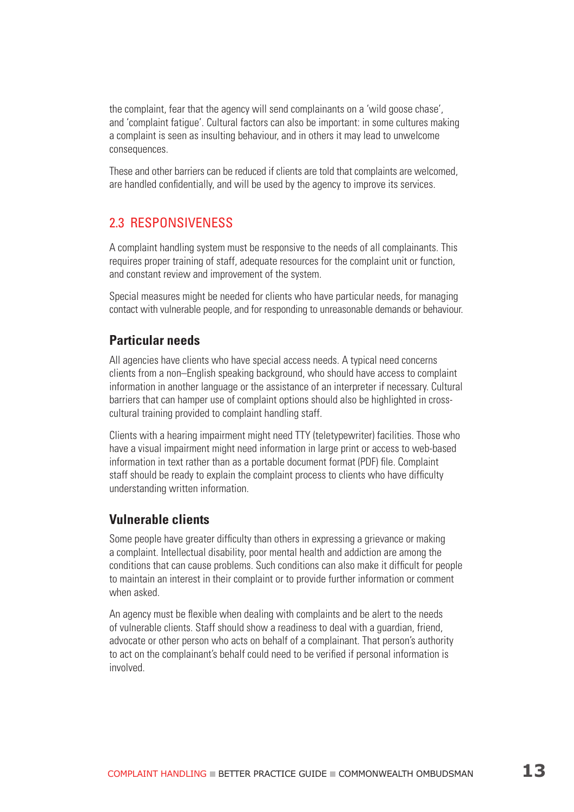the complaint, fear that the agency will send complainants on a 'wild goose chase', and 'complaint fatigue'. Cultural factors can also be important: in some cultures making a complaint is seen as insulting behaviour, and in others it may lead to unwelcome consequences.

These and other barriers can be reduced if clients are told that complaints are welcomed, are handled confidentially, and will be used by the agency to improve its services.

#### 2.3 Responsiveness

A complaint handling system must be responsive to the needs of all complainants. This requires proper training of staff, adequate resources for the complaint unit or function, and constant review and improvement of the system.

Special measures might be needed for clients who have particular needs, for managing contact with vulnerable people, and for responding to unreasonable demands or behaviour.

#### **Particular needs**

All agencies have clients who have special access needs. A typical need concerns clients from a non–English speaking background, who should have access to complaint information in another language or the assistance of an interpreter if necessary. Cultural barriers that can hamper use of complaint options should also be highlighted in crosscultural training provided to complaint handling staff.

Clients with a hearing impairment might need TTY (teletypewriter) facilities. Those who have a visual impairment might need information in large print or access to web-based information in text rather than as a portable document format (PDF) file. Complaint staff should be ready to explain the complaint process to clients who have difficulty understanding written information.

#### **Vulnerable clients**

Some people have greater difficulty than others in expressing a grievance or making a complaint. Intellectual disability, poor mental health and addiction are among the conditions that can cause problems. Such conditions can also make it difficult for people to maintain an interest in their complaint or to provide further information or comment when asked.

An agency must be flexible when dealing with complaints and be alert to the needs of vulnerable clients. Staff should show a readiness to deal with a guardian, friend, advocate or other person who acts on behalf of a complainant. That person's authority to act on the complainant's behalf could need to be verified if personal information is involved.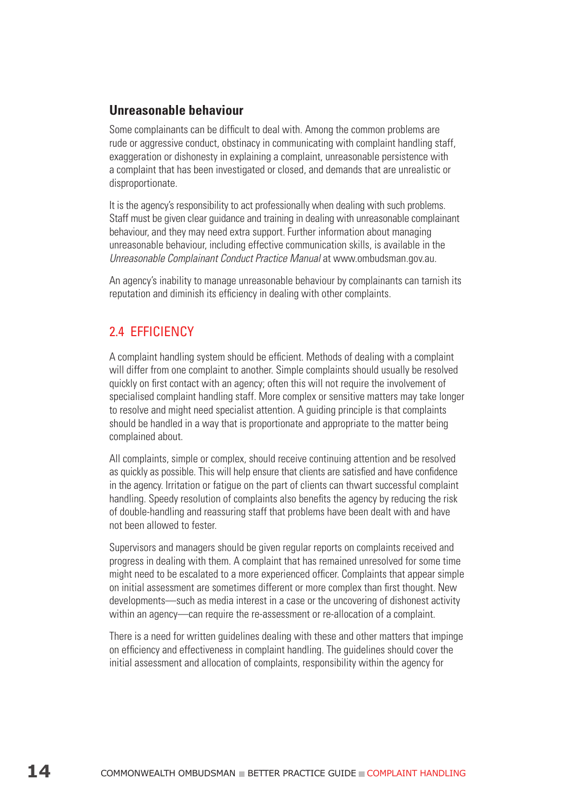### **Unreasonable behaviour**

Some complainants can be difficult to deal with. Among the common problems are rude or aggressive conduct, obstinacy in communicating with complaint handling staff, exaggeration or dishonesty in explaining a complaint, unreasonable persistence with a complaint that has been investigated or closed, and demands that are unrealistic or disproportionate.

It is the agency's responsibility to act professionally when dealing with such problems. Staff must be given clear guidance and training in dealing with unreasonable complainant behaviour, and they may need extra support. Further information about managing unreasonable behaviour, including effective communication skills, is available in the Unreasonable Complainant Conduct Practice Manual at www.ombudsman.gov.au.

An agency's inability to manage unreasonable behaviour by complainants can tarnish its reputation and diminish its efficiency in dealing with other complaints.

# 2.4 Efficiency

A complaint handling system should be efficient. Methods of dealing with a complaint will differ from one complaint to another. Simple complaints should usually be resolved quickly on first contact with an agency; often this will not require the involvement of specialised complaint handling staff. More complex or sensitive matters may take longer to resolve and might need specialist attention. A guiding principle is that complaints should be handled in a way that is proportionate and appropriate to the matter being complained about.

All complaints, simple or complex, should receive continuing attention and be resolved as quickly as possible. This will help ensure that clients are satisfied and have confidence in the agency. Irritation or fatigue on the part of clients can thwart successful complaint handling. Speedy resolution of complaints also benefits the agency by reducing the risk of double-handling and reassuring staff that problems have been dealt with and have not been allowed to fester.

Supervisors and managers should be given regular reports on complaints received and progress in dealing with them. A complaint that has remained unresolved for some time might need to be escalated to a more experienced officer. Complaints that appear simple on initial assessment are sometimes different or more complex than first thought. New developments—such as media interest in a case or the uncovering of dishonest activity within an agency—can require the re-assessment or re-allocation of a complaint.

There is a need for written guidelines dealing with these and other matters that impinge on efficiency and effectiveness in complaint handling. The guidelines should cover the initial assessment and allocation of complaints, responsibility within the agency for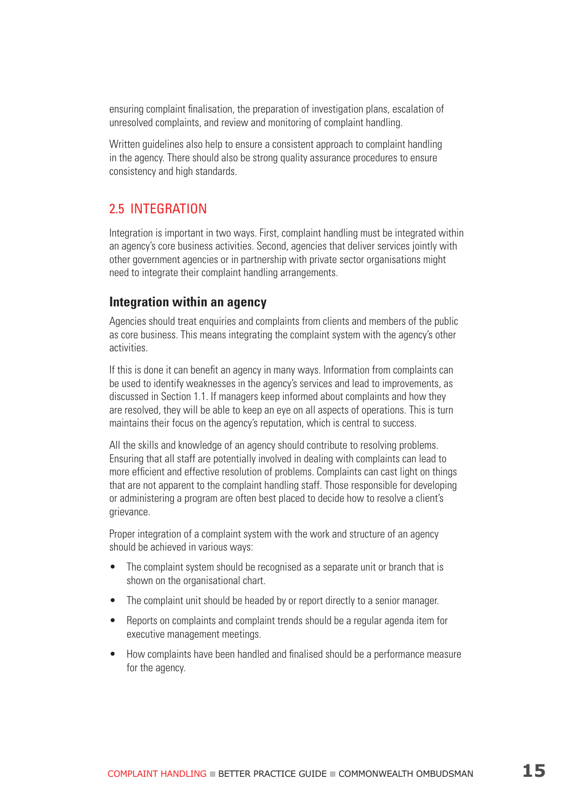ensuring complaint finalisation, the preparation of investigation plans, escalation of unresolved complaints, and review and monitoring of complaint handling.

Written guidelines also help to ensure a consistent approach to complaint handling in the agency. There should also be strong quality assurance procedures to ensure consistency and high standards.

### 2.5 Integration

Integration is important in two ways. First, complaint handling must be integrated within an agency's core business activities. Second, agencies that deliver services jointly with other government agencies or in partnership with private sector organisations might need to integrate their complaint handling arrangements.

#### **Integration within an agency**

Agencies should treat enquiries and complaints from clients and members of the public as core business. This means integrating the complaint system with the agency's other activities.

If this is done it can benefit an agency in many ways. Information from complaints can be used to identify weaknesses in the agency's services and lead to improvements, as discussed in Section 1.1. If managers keep informed about complaints and how they are resolved, they will be able to keep an eye on all aspects of operations. This is turn maintains their focus on the agency's reputation, which is central to success.

All the skills and knowledge of an agency should contribute to resolving problems. Ensuring that all staff are potentially involved in dealing with complaints can lead to more efficient and effective resolution of problems. Complaints can cast light on things that are not apparent to the complaint handling staff. Those responsible for developing or administering a program are often best placed to decide how to resolve a client's grievance.

Proper integration of a complaint system with the work and structure of an agency should be achieved in various ways:

- The complaint system should be recognised as a separate unit or branch that is shown on the organisational chart.
- The complaint unit should be headed by or report directly to a senior manager.
- Reports on complaints and complaint trends should be a regular agenda item for executive management meetings.
- How complaints have been handled and finalised should be a performance measure for the agency.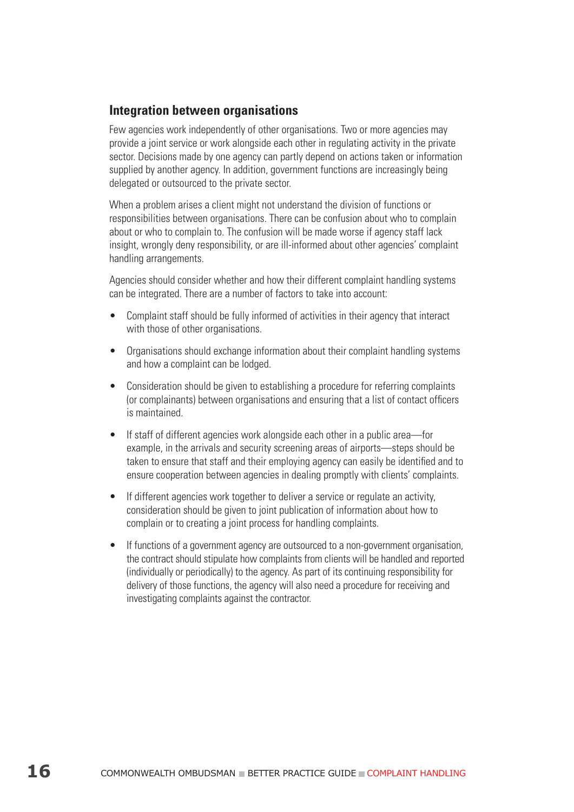### **Integration between organisations**

Few agencies work independently of other organisations. Two or more agencies may provide a joint service or work alongside each other in regulating activity in the private sector. Decisions made by one agency can partly depend on actions taken or information supplied by another agency. In addition, government functions are increasingly being delegated or outsourced to the private sector.

When a problem arises a client might not understand the division of functions or responsibilities between organisations. There can be confusion about who to complain about or who to complain to. The confusion will be made worse if agency staff lack insight, wrongly deny responsibility, or are ill-informed about other agencies' complaint handling arrangements.

Agencies should consider whether and how their different complaint handling systems can be integrated. There are a number of factors to take into account:

- Complaint staff should be fully informed of activities in their agency that interact with those of other organisations.
- Organisations should exchange information about their complaint handling systems and how a complaint can be lodged.
- Consideration should be given to establishing a procedure for referring complaints (or complainants) between organisations and ensuring that a list of contact officers is maintained.
- If staff of different agencies work alongside each other in a public area—for example, in the arrivals and security screening areas of airports—steps should be taken to ensure that staff and their employing agency can easily be identified and to ensure cooperation between agencies in dealing promptly with clients' complaints.
- If different agencies work together to deliver a service or regulate an activity, consideration should be given to joint publication of information about how to complain or to creating a joint process for handling complaints.
- If functions of a government agency are outsourced to a non-government organisation, the contract should stipulate how complaints from clients will be handled and reported (individually or periodically) to the agency. As part of its continuing responsibility for delivery of those functions, the agency will also need a procedure for receiving and investigating complaints against the contractor.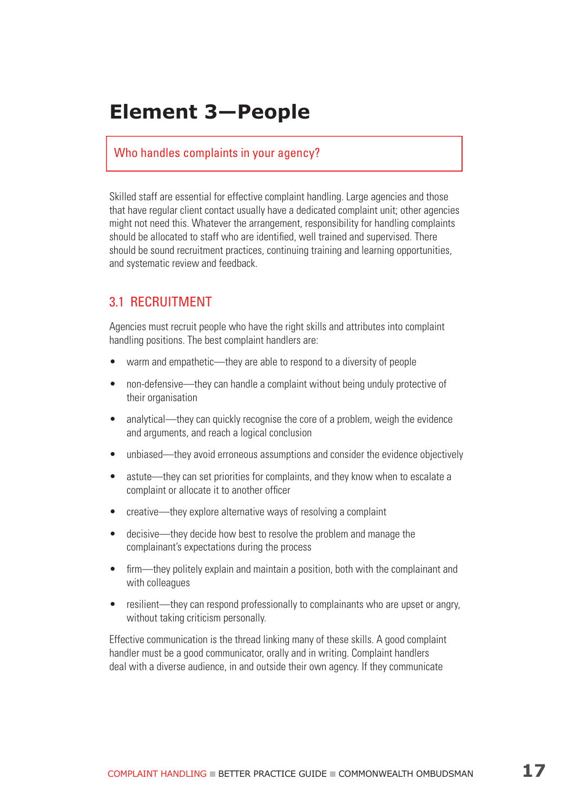# **Element 3—People**

#### Who handles complaints in your agency?

Skilled staff are essential for effective complaint handling. Large agencies and those that have regular client contact usually have a dedicated complaint unit; other agencies might not need this. Whatever the arrangement, responsibility for handling complaints should be allocated to staff who are identified, well trained and supervised. There should be sound recruitment practices, continuing training and learning opportunities, and systematic review and feedback.

### 3.1 Recruitment

Agencies must recruit people who have the right skills and attributes into complaint handling positions. The best complaint handlers are:

- warm and empathetic—they are able to respond to a diversity of people
- non-defensive—they can handle a complaint without being unduly protective of their organisation
- analytical—they can quickly recognise the core of a problem, weigh the evidence and arguments, and reach a logical conclusion
- unbiased—they avoid erroneous assumptions and consider the evidence objectively
- astute—they can set priorities for complaints, and they know when to escalate a complaint or allocate it to another officer
- creative—they explore alternative ways of resolving a complaint
- decisive—they decide how best to resolve the problem and manage the complainant's expectations during the process
- firm—they politely explain and maintain a position, both with the complainant and with colleagues
- resilient—they can respond professionally to complainants who are upset or angry, without taking criticism personally.

Effective communication is the thread linking many of these skills. A good complaint handler must be a good communicator, orally and in writing. Complaint handlers deal with a diverse audience, in and outside their own agency. If they communicate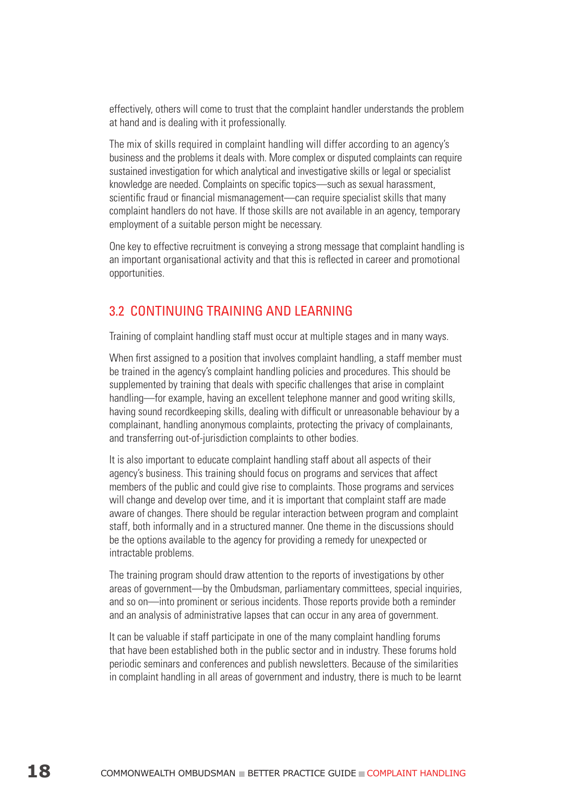effectively, others will come to trust that the complaint handler understands the problem at hand and is dealing with it professionally.

The mix of skills required in complaint handling will differ according to an agency's business and the problems it deals with. More complex or disputed complaints can require sustained investigation for which analytical and investigative skills or legal or specialist knowledge are needed. Complaints on specific topics—such as sexual harassment, scientific fraud or financial mismanagement—can require specialist skills that many complaint handlers do not have. If those skills are not available in an agency, temporary employment of a suitable person might be necessary.

One key to effective recruitment is conveying a strong message that complaint handling is an important organisational activity and that this is reflected in career and promotional opportunities.

#### 3.2 Continuing training and learning

Training of complaint handling staff must occur at multiple stages and in many ways.

When first assigned to a position that involves complaint handling, a staff member must be trained in the agency's complaint handling policies and procedures. This should be supplemented by training that deals with specific challenges that arise in complaint handling—for example, having an excellent telephone manner and good writing skills, having sound recordkeeping skills, dealing with difficult or unreasonable behaviour by a complainant, handling anonymous complaints, protecting the privacy of complainants, and transferring out-of-jurisdiction complaints to other bodies.

It is also important to educate complaint handling staff about all aspects of their agency's business. This training should focus on programs and services that affect members of the public and could give rise to complaints. Those programs and services will change and develop over time, and it is important that complaint staff are made aware of changes. There should be regular interaction between program and complaint staff, both informally and in a structured manner. One theme in the discussions should be the options available to the agency for providing a remedy for unexpected or intractable problems.

The training program should draw attention to the reports of investigations by other areas of government—by the Ombudsman, parliamentary committees, special inquiries, and so on—into prominent or serious incidents. Those reports provide both a reminder and an analysis of administrative lapses that can occur in any area of government.

It can be valuable if staff participate in one of the many complaint handling forums that have been established both in the public sector and in industry. These forums hold periodic seminars and conferences and publish newsletters. Because of the similarities in complaint handling in all areas of government and industry, there is much to be learnt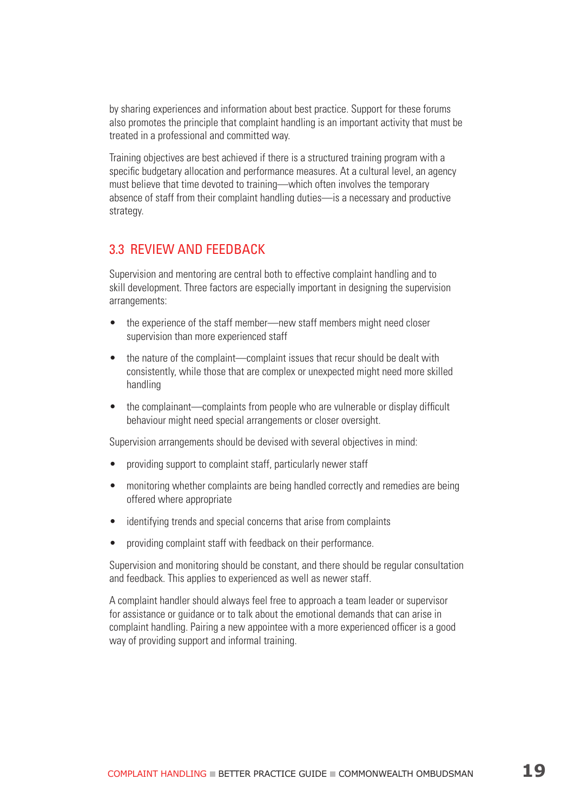by sharing experiences and information about best practice. Support for these forums also promotes the principle that complaint handling is an important activity that must be treated in a professional and committed way.

Training objectives are best achieved if there is a structured training program with a specific budgetary allocation and performance measures. At a cultural level, an agency must believe that time devoted to training—which often involves the temporary absence of staff from their complaint handling duties—is a necessary and productive strategy.

#### 3.3 Review and feedback

Supervision and mentoring are central both to effective complaint handling and to skill development. Three factors are especially important in designing the supervision arrangements:

- the experience of the staff member—new staff members might need closer supervision than more experienced staff
- the nature of the complaint—complaint issues that recur should be dealt with consistently, while those that are complex or unexpected might need more skilled handling
- the complainant—complaints from people who are vulnerable or display difficult behaviour might need special arrangements or closer oversight.

Supervision arrangements should be devised with several objectives in mind:

- providing support to complaint staff, particularly newer staff
- monitoring whether complaints are being handled correctly and remedies are being offered where appropriate
- identifying trends and special concerns that arise from complaints
- providing complaint staff with feedback on their performance.

Supervision and monitoring should be constant, and there should be regular consultation and feedback. This applies to experienced as well as newer staff.

A complaint handler should always feel free to approach a team leader or supervisor for assistance or guidance or to talk about the emotional demands that can arise in complaint handling. Pairing a new appointee with a more experienced officer is a good way of providing support and informal training.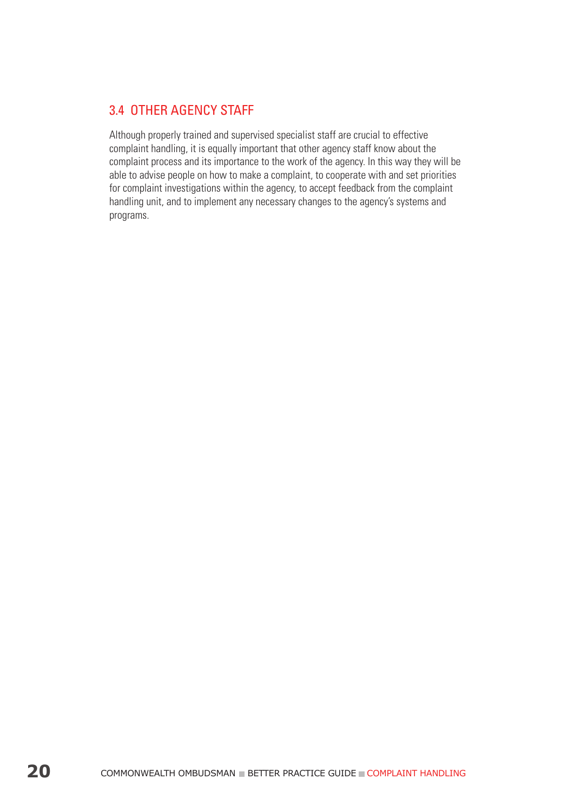# 3.4 Other agency staff

Although properly trained and supervised specialist staff are crucial to effective complaint handling, it is equally important that other agency staff know about the complaint process and its importance to the work of the agency. In this way they will be able to advise people on how to make a complaint, to cooperate with and set priorities for complaint investigations within the agency, to accept feedback from the complaint handling unit, and to implement any necessary changes to the agency's systems and programs.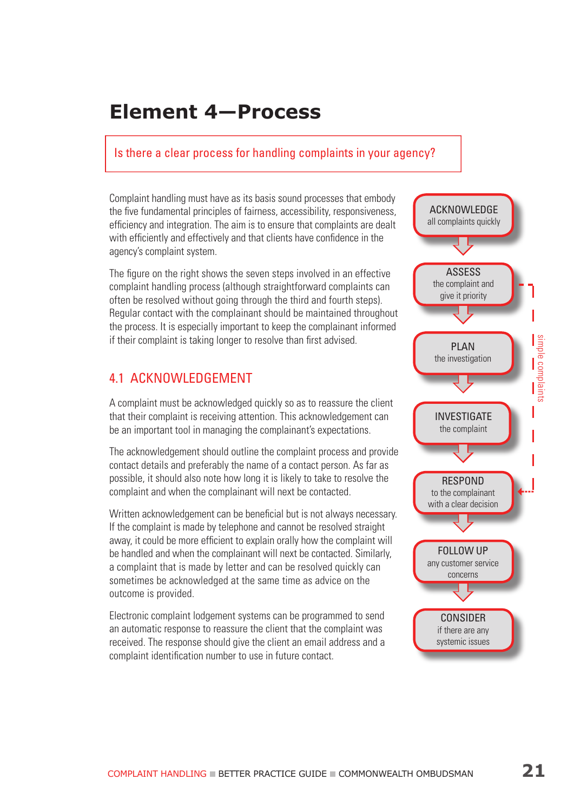# **Element 4—Process**

#### Is there a clear process for handling complaints in your agency?

Complaint handling must have as its basis sound processes that embody the five fundamental principles of fairness, accessibility, responsiveness, efficiency and integration. The aim is to ensure that complaints are dealt with efficiently and effectively and that clients have confidence in the agency's complaint system.

The figure on the right shows the seven steps involved in an effective complaint handling process (although straightforward complaints can often be resolved without going through the third and fourth steps). Regular contact with the complainant should be maintained throughout the process. It is especially important to keep the complainant informed if their complaint is taking longer to resolve than first advised.

# 4.1 Acknowledgement

A complaint must be acknowledged quickly so as to reassure the client that their complaint is receiving attention. This acknowledgement can be an important tool in managing the complainant's expectations.

The acknowledgement should outline the complaint process and provide contact details and preferably the name of a contact person. As far as possible, it should also note how long it is likely to take to resolve the complaint and when the complainant will next be contacted.

Written acknowledgement can be beneficial but is not always necessary. If the complaint is made by telephone and cannot be resolved straight away, it could be more efficient to explain orally how the complaint will be handled and when the complainant will next be contacted. Similarly, a complaint that is made by letter and can be resolved quickly can sometimes be acknowledged at the same time as advice on the outcome is provided.

Electronic complaint lodgement systems can be programmed to send an automatic response to reassure the client that the complaint was received. The response should give the client an email address and a complaint identification number to use in future contact.

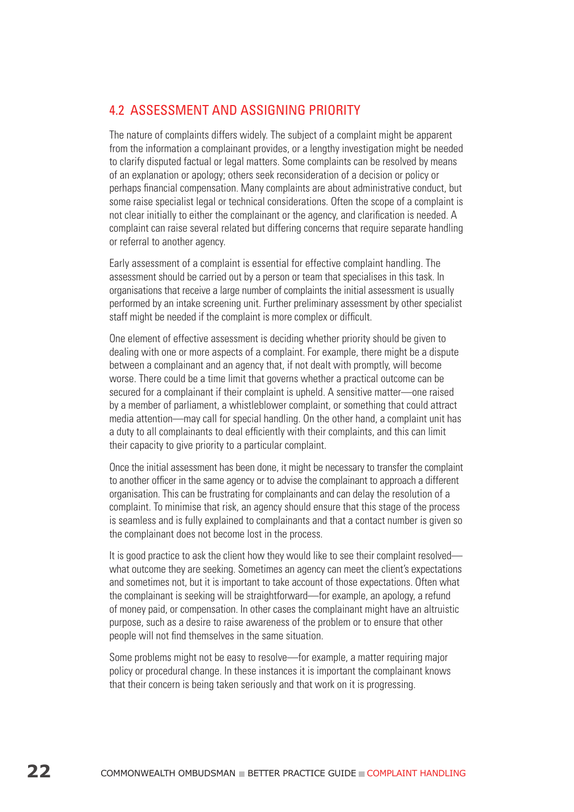# 4.2 Assessment and assigning priority

The nature of complaints differs widely. The subject of a complaint might be apparent from the information a complainant provides, or a lengthy investigation might be needed to clarify disputed factual or legal matters. Some complaints can be resolved by means of an explanation or apology; others seek reconsideration of a decision or policy or perhaps financial compensation. Many complaints are about administrative conduct, but some raise specialist legal or technical considerations. Often the scope of a complaint is not clear initially to either the complainant or the agency, and clarification is needed. A complaint can raise several related but differing concerns that require separate handling or referral to another agency.

Early assessment of a complaint is essential for effective complaint handling. The assessment should be carried out by a person or team that specialises in this task. In organisations that receive a large number of complaints the initial assessment is usually performed by an intake screening unit. Further preliminary assessment by other specialist staff might be needed if the complaint is more complex or difficult.

One element of effective assessment is deciding whether priority should be given to dealing with one or more aspects of a complaint. For example, there might be a dispute between a complainant and an agency that, if not dealt with promptly, will become worse. There could be a time limit that governs whether a practical outcome can be secured for a complainant if their complaint is upheld. A sensitive matter—one raised by a member of parliament, a whistleblower complaint, or something that could attract media attention—may call for special handling. On the other hand, a complaint unit has a duty to all complainants to deal efficiently with their complaints, and this can limit their capacity to give priority to a particular complaint.

Once the initial assessment has been done, it might be necessary to transfer the complaint to another officer in the same agency or to advise the complainant to approach a different organisation. This can be frustrating for complainants and can delay the resolution of a complaint. To minimise that risk, an agency should ensure that this stage of the process is seamless and is fully explained to complainants and that a contact number is given so the complainant does not become lost in the process.

It is good practice to ask the client how they would like to see their complaint resolved what outcome they are seeking. Sometimes an agency can meet the client's expectations and sometimes not, but it is important to take account of those expectations. Often what the complainant is seeking will be straightforward—for example, an apology, a refund of money paid, or compensation. In other cases the complainant might have an altruistic purpose, such as a desire to raise awareness of the problem or to ensure that other people will not find themselves in the same situation.

Some problems might not be easy to resolve—for example, a matter requiring major policy or procedural change. In these instances it is important the complainant knows that their concern is being taken seriously and that work on it is progressing.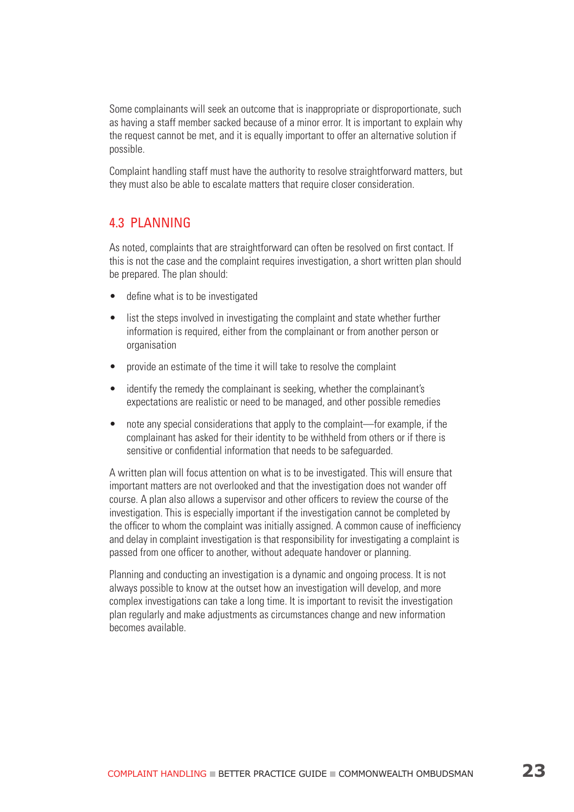Some complainants will seek an outcome that is inappropriate or disproportionate, such as having a staff member sacked because of a minor error. It is important to explain why the request cannot be met, and it is equally important to offer an alternative solution if possible.

Complaint handling staff must have the authority to resolve straightforward matters, but they must also be able to escalate matters that require closer consideration.

#### 4.3 Planning

As noted, complaints that are straightforward can often be resolved on first contact. If this is not the case and the complaint requires investigation, a short written plan should be prepared. The plan should:

- define what is to be investigated
- list the steps involved in investigating the complaint and state whether further information is required, either from the complainant or from another person or organisation
- provide an estimate of the time it will take to resolve the complaint
- identify the remedy the complainant is seeking, whether the complainant's expectations are realistic or need to be managed, and other possible remedies
- note any special considerations that apply to the complaint—for example, if the complainant has asked for their identity to be withheld from others or if there is sensitive or confidential information that needs to be safeguarded.

A written plan will focus attention on what is to be investigated. This will ensure that important matters are not overlooked and that the investigation does not wander off course. A plan also allows a supervisor and other officers to review the course of the investigation. This is especially important if the investigation cannot be completed by the officer to whom the complaint was initially assigned. A common cause of inefficiency and delay in complaint investigation is that responsibility for investigating a complaint is passed from one officer to another, without adequate handover or planning.

Planning and conducting an investigation is a dynamic and ongoing process. It is not always possible to know at the outset how an investigation will develop, and more complex investigations can take a long time. It is important to revisit the investigation plan regularly and make adjustments as circumstances change and new information becomes available.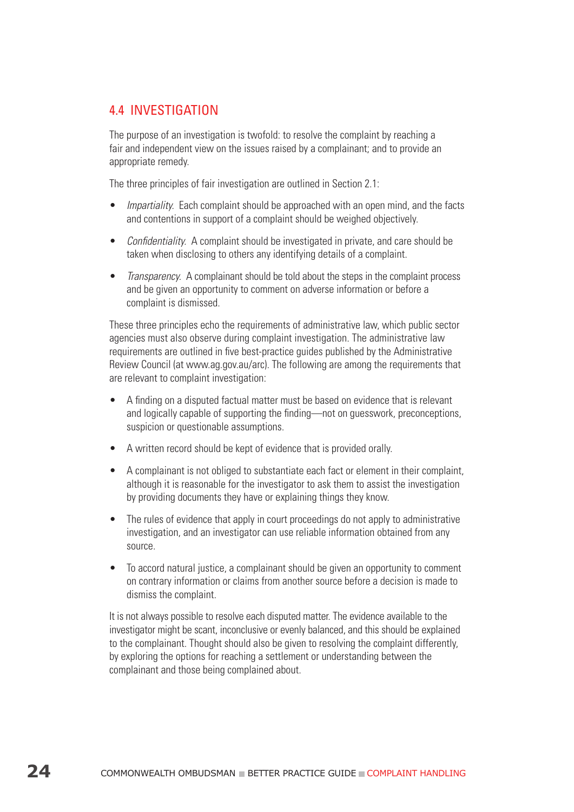# 4.4 Investigation

The purpose of an investigation is twofold: to resolve the complaint by reaching a fair and independent view on the issues raised by a complainant; and to provide an appropriate remedy.

The three principles of fair investigation are outlined in Section 2.1:

- Impartiality. Each complaint should be approached with an open mind, and the facts and contentions in support of a complaint should be weighed objectively.
- Confidentiality. A complaint should be investigated in private, and care should be taken when disclosing to others any identifying details of a complaint.
- *Transparency.* A complainant should be told about the steps in the complaint process and be given an opportunity to comment on adverse information or before a complaint is dismissed.

These three principles echo the requirements of administrative law, which public sector agencies must also observe during complaint investigation. The administrative law requirements are outlined in five best-practice guides published by the Administrative Review Council (at www.ag.gov.au/arc). The following are among the requirements that are relevant to complaint investigation:

- A finding on a disputed factual matter must be based on evidence that is relevant and logically capable of supporting the finding—not on guesswork, preconceptions, suspicion or questionable assumptions.
- A written record should be kept of evidence that is provided orally.
- A complainant is not obliged to substantiate each fact or element in their complaint, although it is reasonable for the investigator to ask them to assist the investigation by providing documents they have or explaining things they know.
- The rules of evidence that apply in court proceedings do not apply to administrative investigation, and an investigator can use reliable information obtained from any source.
- To accord natural justice, a complainant should be given an opportunity to comment on contrary information or claims from another source before a decision is made to dismiss the complaint.

It is not always possible to resolve each disputed matter. The evidence available to the investigator might be scant, inconclusive or evenly balanced, and this should be explained to the complainant. Thought should also be given to resolving the complaint differently, by exploring the options for reaching a settlement or understanding between the complainant and those being complained about.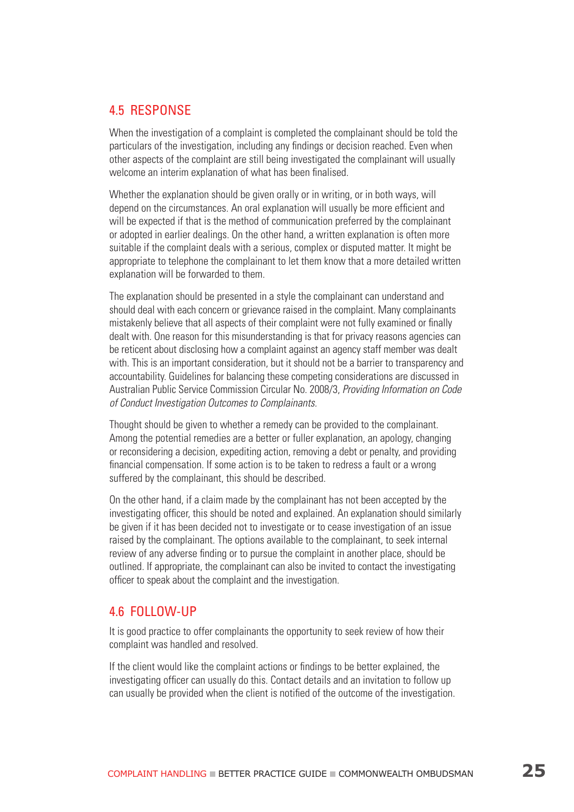#### 4.5 Response

When the investigation of a complaint is completed the complainant should be told the particulars of the investigation, including any findings or decision reached. Even when other aspects of the complaint are still being investigated the complainant will usually welcome an interim explanation of what has been finalised.

Whether the explanation should be given orally or in writing, or in both ways, will depend on the circumstances. An oral explanation will usually be more efficient and will be expected if that is the method of communication preferred by the complainant or adopted in earlier dealings. On the other hand, a written explanation is often more suitable if the complaint deals with a serious, complex or disputed matter. It might be appropriate to telephone the complainant to let them know that a more detailed written explanation will be forwarded to them.

The explanation should be presented in a style the complainant can understand and should deal with each concern or grievance raised in the complaint. Many complainants mistakenly believe that all aspects of their complaint were not fully examined or finally dealt with. One reason for this misunderstanding is that for privacy reasons agencies can be reticent about disclosing how a complaint against an agency staff member was dealt with. This is an important consideration, but it should not be a barrier to transparency and accountability. Guidelines for balancing these competing considerations are discussed in Australian Public Service Commission Circular No. 2008/3, Providing Information on Code of Conduct Investigation Outcomes to Complainants.

Thought should be given to whether a remedy can be provided to the complainant. Among the potential remedies are a better or fuller explanation, an apology, changing or reconsidering a decision, expediting action, removing a debt or penalty, and providing financial compensation. If some action is to be taken to redress a fault or a wrong suffered by the complainant, this should be described.

On the other hand, if a claim made by the complainant has not been accepted by the investigating officer, this should be noted and explained. An explanation should similarly be given if it has been decided not to investigate or to cease investigation of an issue raised by the complainant. The options available to the complainant, to seek internal review of any adverse finding or to pursue the complaint in another place, should be outlined. If appropriate, the complainant can also be invited to contact the investigating officer to speak about the complaint and the investigation.

#### 4.6 Follow-up

It is good practice to offer complainants the opportunity to seek review of how their complaint was handled and resolved.

If the client would like the complaint actions or findings to be better explained, the investigating officer can usually do this. Contact details and an invitation to follow up can usually be provided when the client is notified of the outcome of the investigation.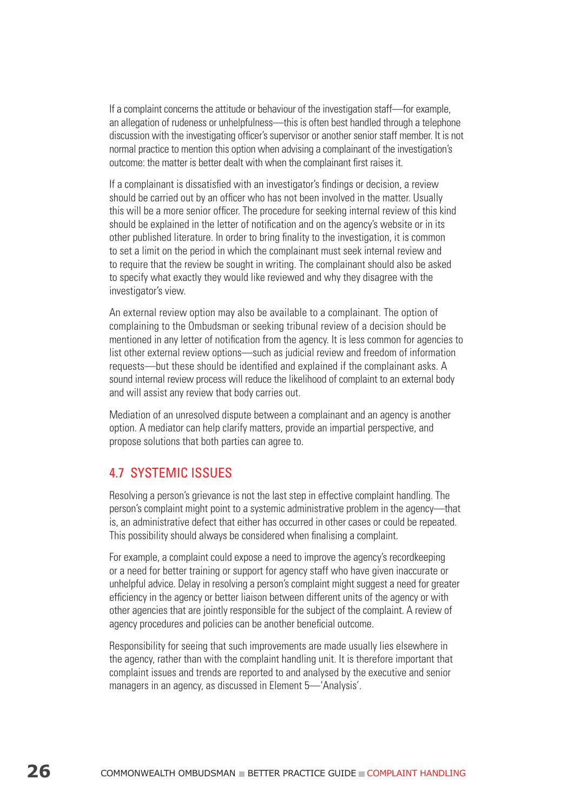If a complaint concerns the attitude or behaviour of the investigation staff—for example, an allegation of rudeness or unhelpfulness—this is often best handled through a telephone discussion with the investigating officer's supervisor or another senior staff member. It is not normal practice to mention this option when advising a complainant of the investigation's outcome: the matter is better dealt with when the complainant first raises it.

If a complainant is dissatisfied with an investigator's findings or decision, a review should be carried out by an officer who has not been involved in the matter. Usually this will be a more senior officer. The procedure for seeking internal review of this kind should be explained in the letter of notification and on the agency's website or in its other published literature. In order to bring finality to the investigation, it is common to set a limit on the period in which the complainant must seek internal review and to require that the review be sought in writing. The complainant should also be asked to specify what exactly they would like reviewed and why they disagree with the investigator's view.

An external review option may also be available to a complainant. The option of complaining to the Ombudsman or seeking tribunal review of a decision should be mentioned in any letter of notification from the agency. It is less common for agencies to list other external review options—such as judicial review and freedom of information requests—but these should be identified and explained if the complainant asks. A sound internal review process will reduce the likelihood of complaint to an external body and will assist any review that body carries out.

Mediation of an unresolved dispute between a complainant and an agency is another option. A mediator can help clarify matters, provide an impartial perspective, and propose solutions that both parties can agree to.

#### 4.7 Systemic issues

Resolving a person's grievance is not the last step in effective complaint handling. The person's complaint might point to a systemic administrative problem in the agency—that is, an administrative defect that either has occurred in other cases or could be repeated. This possibility should always be considered when finalising a complaint.

For example, a complaint could expose a need to improve the agency's recordkeeping or a need for better training or support for agency staff who have given inaccurate or unhelpful advice. Delay in resolving a person's complaint might suggest a need for greater efficiency in the agency or better liaison between different units of the agency or with other agencies that are jointly responsible for the subject of the complaint. A review of agency procedures and policies can be another beneficial outcome.

Responsibility for seeing that such improvements are made usually lies elsewhere in the agency, rather than with the complaint handling unit. It is therefore important that complaint issues and trends are reported to and analysed by the executive and senior managers in an agency, as discussed in Element 5—'Analysis'.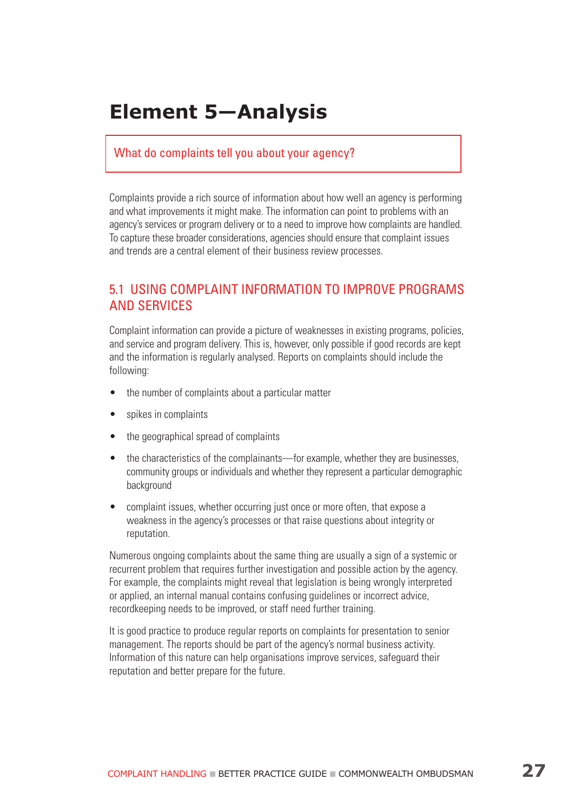# **Element 5—Analysis**

#### What do complaints tell you about your agency?

Complaints provide a rich source of information about how well an agency is performing and what improvements it might make. The information can point to problems with an agency's services or program delivery or to a need to improve how complaints are handled. To capture these broader considerations, agencies should ensure that complaint issues and trends are a central element of their business review processes.

### 5.1 Using complaint information to improve programs and services

Complaint information can provide a picture of weaknesses in existing programs, policies, and service and program delivery. This is, however, only possible if good records are kept and the information is regularly analysed. Reports on complaints should include the following:

- the number of complaints about a particular matter
- spikes in complaints
- the geographical spread of complaints
- the characteristics of the complainants—for example, whether they are businesses, community groups or individuals and whether they represent a particular demographic background
- complaint issues, whether occurring just once or more often, that expose a weakness in the agency's processes or that raise questions about integrity or reputation.

Numerous ongoing complaints about the same thing are usually a sign of a systemic or recurrent problem that requires further investigation and possible action by the agency. For example, the complaints might reveal that legislation is being wrongly interpreted or applied, an internal manual contains confusing guidelines or incorrect advice, recordkeeping needs to be improved, or staff need further training.

It is good practice to produce regular reports on complaints for presentation to senior management. The reports should be part of the agency's normal business activity. Information of this nature can help organisations improve services, safeguard their reputation and better prepare for the future.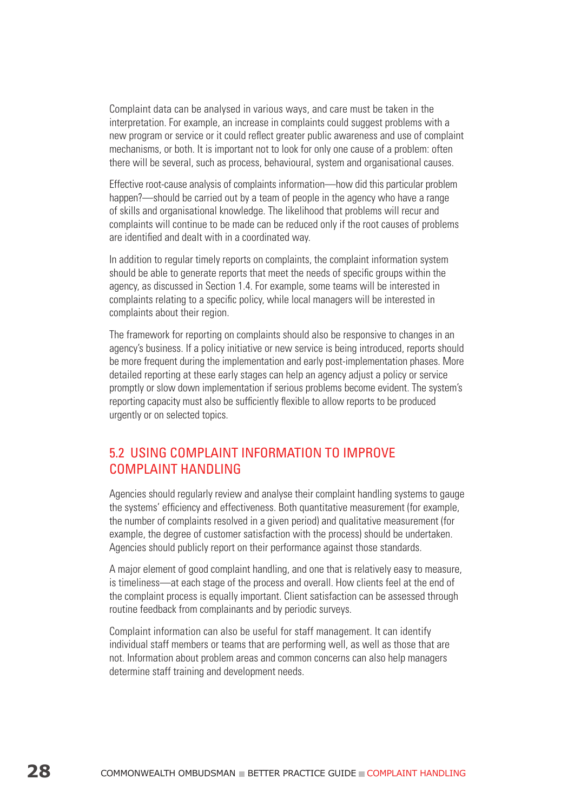Complaint data can be analysed in various ways, and care must be taken in the interpretation. For example, an increase in complaints could suggest problems with a new program or service or it could reflect greater public awareness and use of complaint mechanisms, or both. It is important not to look for only one cause of a problem: often there will be several, such as process, behavioural, system and organisational causes.

Effective root-cause analysis of complaints information—how did this particular problem happen?—should be carried out by a team of people in the agency who have a range of skills and organisational knowledge. The likelihood that problems will recur and complaints will continue to be made can be reduced only if the root causes of problems are identified and dealt with in a coordinated way.

In addition to regular timely reports on complaints, the complaint information system should be able to generate reports that meet the needs of specific groups within the agency, as discussed in Section 1.4. For example, some teams will be interested in complaints relating to a specific policy, while local managers will be interested in complaints about their region.

The framework for reporting on complaints should also be responsive to changes in an agency's business. If a policy initiative or new service is being introduced, reports should be more frequent during the implementation and early post-implementation phases. More detailed reporting at these early stages can help an agency adjust a policy or service promptly or slow down implementation if serious problems become evident. The system's reporting capacity must also be sufficiently flexible to allow reports to be produced urgently or on selected topics.

### 5.2 Using complaint information to improve complaint handling

Agencies should regularly review and analyse their complaint handling systems to gauge the systems' efficiency and effectiveness. Both quantitative measurement (for example, the number of complaints resolved in a given period) and qualitative measurement (for example, the degree of customer satisfaction with the process) should be undertaken. Agencies should publicly report on their performance against those standards.

A major element of good complaint handling, and one that is relatively easy to measure, is timeliness—at each stage of the process and overall. How clients feel at the end of the complaint process is equally important. Client satisfaction can be assessed through routine feedback from complainants and by periodic surveys.

Complaint information can also be useful for staff management. It can identify individual staff members or teams that are performing well, as well as those that are not. Information about problem areas and common concerns can also help managers determine staff training and development needs.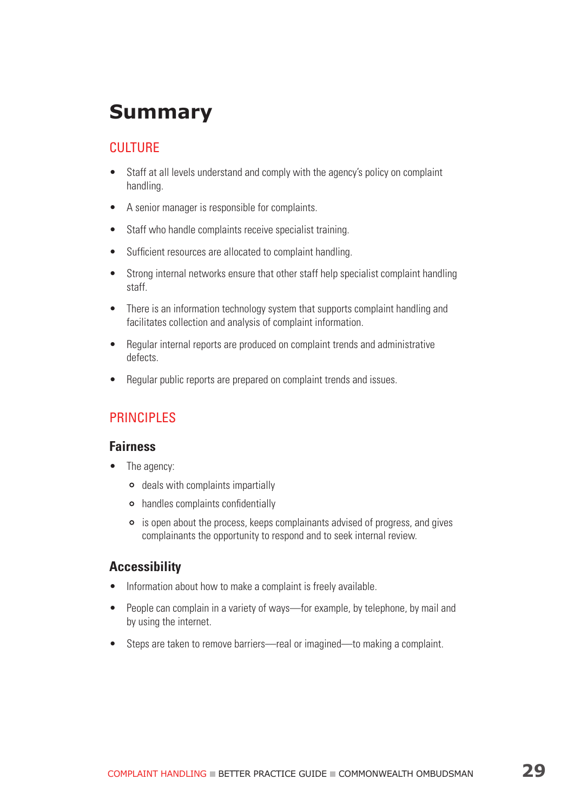# **Summary**

# **CULTURE**

- Staff at all levels understand and comply with the agency's policy on complaint handling.
- A senior manager is responsible for complaints.
- Staff who handle complaints receive specialist training.
- Sufficient resources are allocated to complaint handling.
- Strong internal networks ensure that other staff help specialist complaint handling staff.
- There is an information technology system that supports complaint handling and facilitates collection and analysis of complaint information.
- Regular internal reports are produced on complaint trends and administrative defects.
- Regular public reports are prepared on complaint trends and issues.

# **PRINCIPLES**

#### **Fairness**

- The agency:
	- deals with complaints impartially
	- handles complaints confidentially
	- is open about the process, keeps complainants advised of progress, and gives complainants the opportunity to respond and to seek internal review.

#### **Accessibility**

- Information about how to make a complaint is freely available.
- People can complain in a variety of ways—for example, by telephone, by mail and by using the internet.
- Steps are taken to remove barriers—real or imagined—to making a complaint.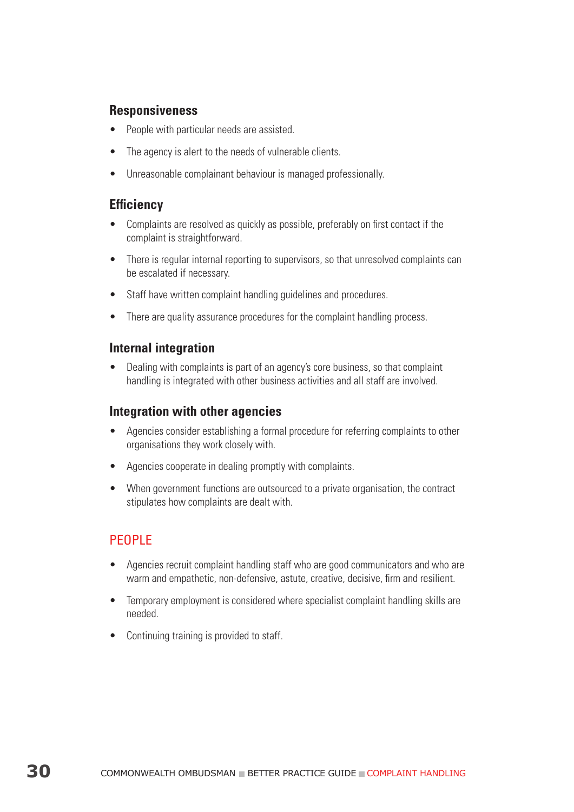### **Responsiveness**

- People with particular needs are assisted.
- The agency is alert to the needs of vulnerable clients.
- Unreasonable complainant behaviour is managed professionally.

#### **Efficiency**

- Complaints are resolved as quickly as possible, preferably on first contact if the complaint is straightforward.
- There is regular internal reporting to supervisors, so that unresolved complaints can be escalated if necessary.
- Staff have written complaint handling guidelines and procedures.
- There are quality assurance procedures for the complaint handling process.

#### **Internal integration**

• Dealing with complaints is part of an agency's core business, so that complaint handling is integrated with other business activities and all staff are involved.

#### **Integration with other agencies**

- Agencies consider establishing a formal procedure for referring complaints to other organisations they work closely with.
- Agencies cooperate in dealing promptly with complaints.
- When government functions are outsourced to a private organisation, the contract stipulates how complaints are dealt with.

# **PEOPLE**

- Agencies recruit complaint handling staff who are good communicators and who are warm and empathetic, non-defensive, astute, creative, decisive, firm and resilient.
- Temporary employment is considered where specialist complaint handling skills are needed.
- Continuing training is provided to staff.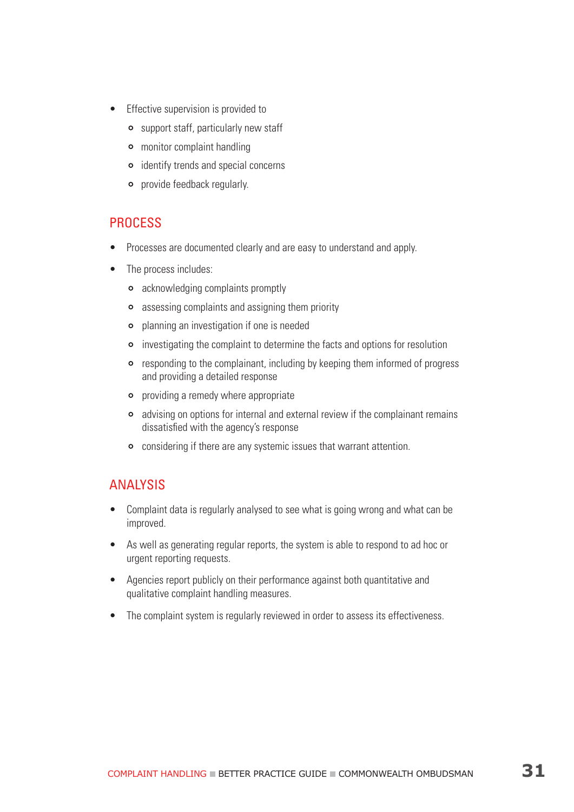- Effective supervision is provided to
	- support staff, particularly new staff
	- monitor complaint handling
	- **•** identify trends and special concerns
	- provide feedback regularly.

#### **PROCESS**

- Processes are documented clearly and are easy to understand and apply.
- The process includes:
	- acknowledging complaints promptly
	- assessing complaints and assigning them priority
	- planning an investigation if one is needed
	- investigating the complaint to determine the facts and options for resolution
	- responding to the complainant, including by keeping them informed of progress and providing a detailed response
	- providing a remedy where appropriate
	- advising on options for internal and external review if the complainant remains dissatisfied with the agency's response
	- considering if there are any systemic issues that warrant attention.

# **ANALYSIS**

- Complaint data is regularly analysed to see what is going wrong and what can be improved.
- As well as generating regular reports, the system is able to respond to ad hoc or urgent reporting requests.
- Agencies report publicly on their performance against both quantitative and qualitative complaint handling measures.
- The complaint system is regularly reviewed in order to assess its effectiveness.